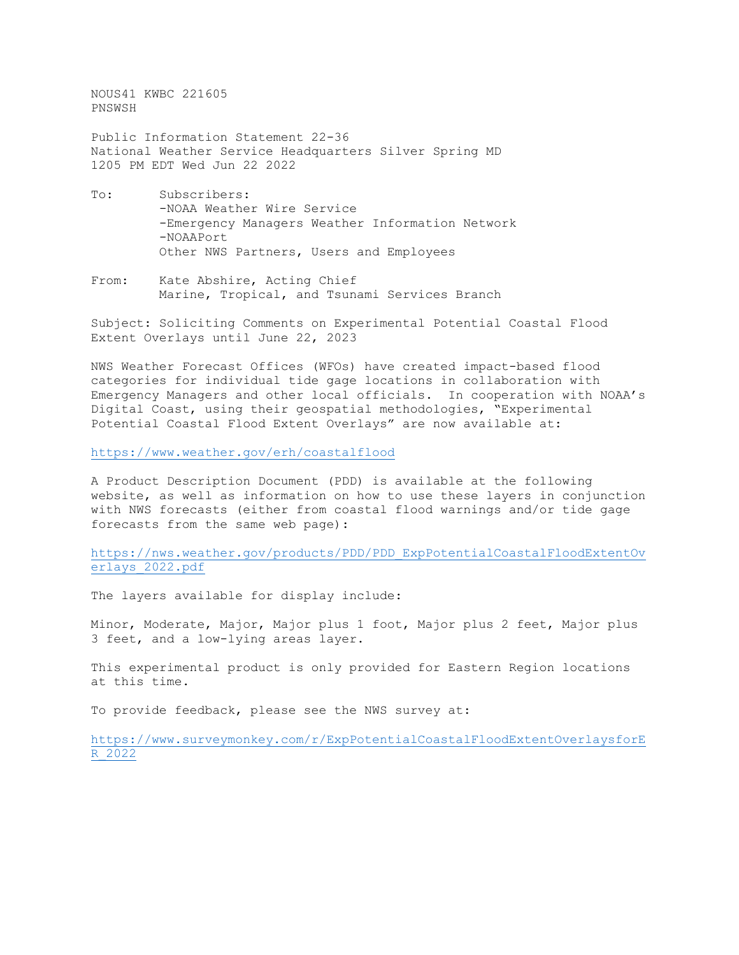NOUS41 KWBC 221605 PNSWSH

Public Information Statement 22-36 National Weather Service Headquarters Silver Spring MD 1205 PM EDT Wed Jun 22 2022

- To: Subscribers: -NOAA Weather Wire Service -Emergency Managers Weather Information Network -NOAAPort Other NWS Partners, Users and Employees
- From: Kate Abshire, Acting Chief Marine, Tropical, and Tsunami Services Branch

Subject: Soliciting Comments on Experimental Potential Coastal Flood Extent Overlays until June 22, 2023

NWS Weather Forecast Offices (WFOs) have created impact-based flood categories for individual tide gage locations in collaboration with Emergency Managers and other local officials. In cooperation with NOAA's Digital Coast, using their geospatial methodologies, "Experimental Potential Coastal Flood Extent Overlays" are now available at:

<https://www.weather.gov/erh/coastalflood>

A Product Description Document (PDD) is available at the following website, as well as information on how to use these layers in conjunction with NWS forecasts (either from coastal flood warnings and/or tide gage forecasts from the same web page):

[https://nws.weather.gov/products/PDD/PDD\\_ExpPotentialCoastalFloodExtentOv](https://nws.weather.gov/products/PDD/PDD_ExpPotentialCoastalFloodExtentOverlays_2022.pdf) [erlays\\_2022.pdf](https://nws.weather.gov/products/PDD/PDD_ExpPotentialCoastalFloodExtentOverlays_2022.pdf)

The layers available for display include:

Minor, Moderate, Major, Major plus 1 foot, Major plus 2 feet, Major plus 3 feet, and a low-lying areas layer.

This experimental product is only provided for Eastern Region locations at this time.

To provide feedback, please see the NWS survey at:

[https://www.surveymonkey.com/r/ExpPotentialCoastalFloodExtentOverlaysforE](https://www.surveymonkey.com/r/ExpPotentialCoastalFloodExtentOverlaysforER_2022) [R\\_2022](https://www.surveymonkey.com/r/ExpPotentialCoastalFloodExtentOverlaysforER_2022)